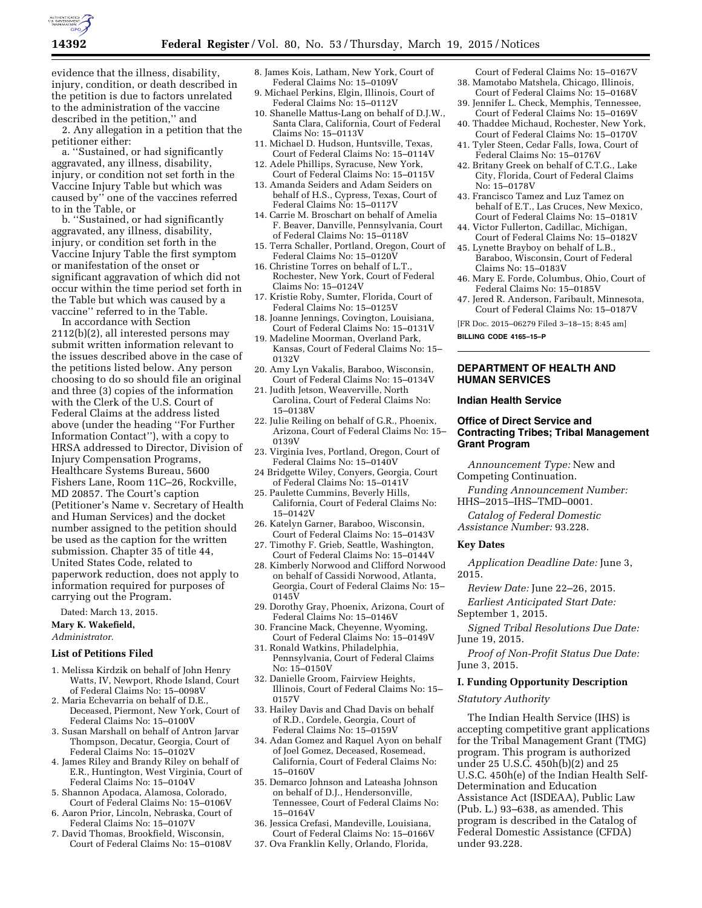

evidence that the illness, disability, injury, condition, or death described in the petition is due to factors unrelated to the administration of the vaccine described in the petition,'' and

2. Any allegation in a petition that the petitioner either:

a. ''Sustained, or had significantly aggravated, any illness, disability, injury, or condition not set forth in the Vaccine Injury Table but which was caused by'' one of the vaccines referred to in the Table, or

b. ''Sustained, or had significantly aggravated, any illness, disability, injury, or condition set forth in the Vaccine Injury Table the first symptom or manifestation of the onset or significant aggravation of which did not occur within the time period set forth in the Table but which was caused by a vaccine'' referred to in the Table.

In accordance with Section 2112(b)(2), all interested persons may submit written information relevant to the issues described above in the case of the petitions listed below. Any person choosing to do so should file an original and three (3) copies of the information with the Clerk of the U.S. Court of Federal Claims at the address listed above (under the heading ''For Further Information Contact''), with a copy to HRSA addressed to Director, Division of Injury Compensation Programs, Healthcare Systems Bureau, 5600 Fishers Lane, Room 11C–26, Rockville, MD 20857. The Court's caption (Petitioner's Name v. Secretary of Health and Human Services) and the docket number assigned to the petition should be used as the caption for the written submission. Chapter 35 of title 44, United States Code, related to paperwork reduction, does not apply to information required for purposes of carrying out the Program.

Dated: March 13, 2015. **Mary K. Wakefield,** 

*Administrator.* 

#### **List of Petitions Filed**

- 1. Melissa Kirdzik on behalf of John Henry Watts, IV, Newport, Rhode Island, Court of Federal Claims No: 15–0098V
- 2. Maria Echevarria on behalf of D.E. Deceased, Piermont, New York, Court of Federal Claims No: 15–0100V
- 3. Susan Marshall on behalf of Antron Jarvar Thompson, Decatur, Georgia, Court of Federal Claims No: 15–0102V
- 4. James Riley and Brandy Riley on behalf of E.R., Huntington, West Virginia, Court of Federal Claims No: 15–0104V
- 5. Shannon Apodaca, Alamosa, Colorado, Court of Federal Claims No: 15–0106V
- 6. Aaron Prior, Lincoln, Nebraska, Court of Federal Claims No: 15–0107V
- 7. David Thomas, Brookfield, Wisconsin, Court of Federal Claims No: 15–0108V
- 8. James Kois, Latham, New York, Court of Federal Claims No: 15–0109V
- 9. Michael Perkins, Elgin, Illinois, Court of Federal Claims No: 15–0112V
- 10. Shanelle Mattus-Lang on behalf of D.J.W., Santa Clara, California, Court of Federal Claims No: 15–0113V
- 11. Michael D. Hudson, Huntsville, Texas, Court of Federal Claims No: 15–0114V 12. Adele Phillips, Syracuse, New York,
- Court of Federal Claims No: 15–0115V
- 13. Amanda Seiders and Adam Seiders on behalf of H.S., Cypress, Texas, Court of Federal Claims No: 15–0117V
- 14. Carrie M. Broschart on behalf of Amelia F. Beaver, Danville, Pennsylvania, Court of Federal Claims No: 15–0118V
- 15. Terra Schaller, Portland, Oregon, Court of Federal Claims No: 15–0120V
- 16. Christine Torres on behalf of L.T., Rochester, New York, Court of Federal Claims No: 15–0124V
- 17. Kristie Roby, Sumter, Florida, Court of Federal Claims No: 15–0125V
- 18. Joanne Jennings, Covington, Louisiana, Court of Federal Claims No: 15–0131V
- 19. Madeline Moorman, Overland Park, Kansas, Court of Federal Claims No: 15– 0132V
- 20. Amy Lyn Vakalis, Baraboo, Wisconsin, Court of Federal Claims No: 15–0134V
- 21. Judith Jetson, Weaverville, North Carolina, Court of Federal Claims No: 15–0138V
- 22. Julie Reiling on behalf of G.R., Phoenix, Arizona, Court of Federal Claims No: 15– 0139V
- 23. Virginia Ives, Portland, Oregon, Court of Federal Claims No: 15–0140V
- 24 Bridgette Wiley, Conyers, Georgia, Court of Federal Claims No: 15–0141V
- 25. Paulette Cummins, Beverly Hills, California, Court of Federal Claims No: 15–0142V
- 26. Katelyn Garner, Baraboo, Wisconsin, Court of Federal Claims No: 15–0143V
- 27. Timothy F. Grieb, Seattle, Washington, Court of Federal Claims No: 15–0144V
- 28. Kimberly Norwood and Clifford Norwood on behalf of Cassidi Norwood, Atlanta, Georgia, Court of Federal Claims No: 15– 0145V
- 29. Dorothy Gray, Phoenix, Arizona, Court of Federal Claims No: 15–0146V
- 30. Francine Mack, Cheyenne, Wyoming, Court of Federal Claims No: 15–0149V
- 31. Ronald Watkins, Philadelphia, Pennsylvania, Court of Federal Claims No: 15–0150V
- 32. Danielle Groom, Fairview Heights, Illinois, Court of Federal Claims No: 15– 0157V
- 33. Hailey Davis and Chad Davis on behalf of R.D., Cordele, Georgia, Court of Federal Claims No: 15–0159V
- 34. Adan Gomez and Raquel Ayon on behalf of Joel Gomez, Deceased, Rosemead, California, Court of Federal Claims No: 15–0160V
- 35. Demarco Johnson and Lateasha Johnson on behalf of D.J., Hendersonville, Tennessee, Court of Federal Claims No: 15–0164V
- 36. Jessica Crefasi, Mandeville, Louisiana, Court of Federal Claims No: 15–0166V
- 37. Ova Franklin Kelly, Orlando, Florida,

Court of Federal Claims No: 15–0167V 38. Mamotabo Matshela, Chicago, Illinois,

- Court of Federal Claims No: 15–0168V 39. Jennifer L. Check, Memphis, Tennessee, Court of Federal Claims No: 15–0169V
- 40. Thaddee Michaud, Rochester, New York, Court of Federal Claims No: 15–0170V
- 41. Tyler Steen, Cedar Falls, Iowa, Court of Federal Claims No: 15–0176V
- 42. Britany Greek on behalf of C.T.G., Lake City, Florida, Court of Federal Claims No: 15–0178V
- 43. Francisco Tamez and Luz Tamez on behalf of E.T., Las Cruces, New Mexico, Court of Federal Claims No: 15–0181V
- 44. Victor Fullerton, Cadillac, Michigan, Court of Federal Claims No: 15–0182V
- 45. Lynette Brayboy on behalf of L.B., Baraboo, Wisconsin, Court of Federal Claims No: 15–0183V
- 46. Mary E. Forde, Columbus, Ohio, Court of Federal Claims No: 15–0185V
- 47. Jered R. Anderson, Faribault, Minnesota, Court of Federal Claims No: 15–0187V

[FR Doc. 2015–06279 Filed 3–18–15; 8:45 am]

**BILLING CODE 4165–15–P** 

## **DEPARTMENT OF HEALTH AND HUMAN SERVICES**

#### **Indian Health Service**

## **Office of Direct Service and Contracting Tribes; Tribal Management Grant Program**

*Announcement Type:* New and Competing Continuation.

- *Funding Announcement Number:*  HHS–2015–IHS–TMD–0001.
- *Catalog of Federal Domestic*

*Assistance Number:* 93.228.

### **Key Dates**

*Application Deadline Date:* June 3, 2015.

*Review Date:* June 22–26, 2015.

*Earliest Anticipated Start Date:*  September 1, 2015.

*Signed Tribal Resolutions Due Date:*  June 19, 2015.

*Proof of Non-Profit Status Due Date:*  June 3, 2015.

### **I. Funding Opportunity Description**

*Statutory Authority* 

The Indian Health Service (IHS) is accepting competitive grant applications for the Tribal Management Grant (TMG) program. This program is authorized under 25 U.S.C. 450h(b)(2) and 25 U.S.C. 450h(e) of the Indian Health Self-Determination and Education Assistance Act (ISDEAA), Public Law (Pub. L.) 93–638, as amended. This program is described in the Catalog of Federal Domestic Assistance (CFDA) under 93.228.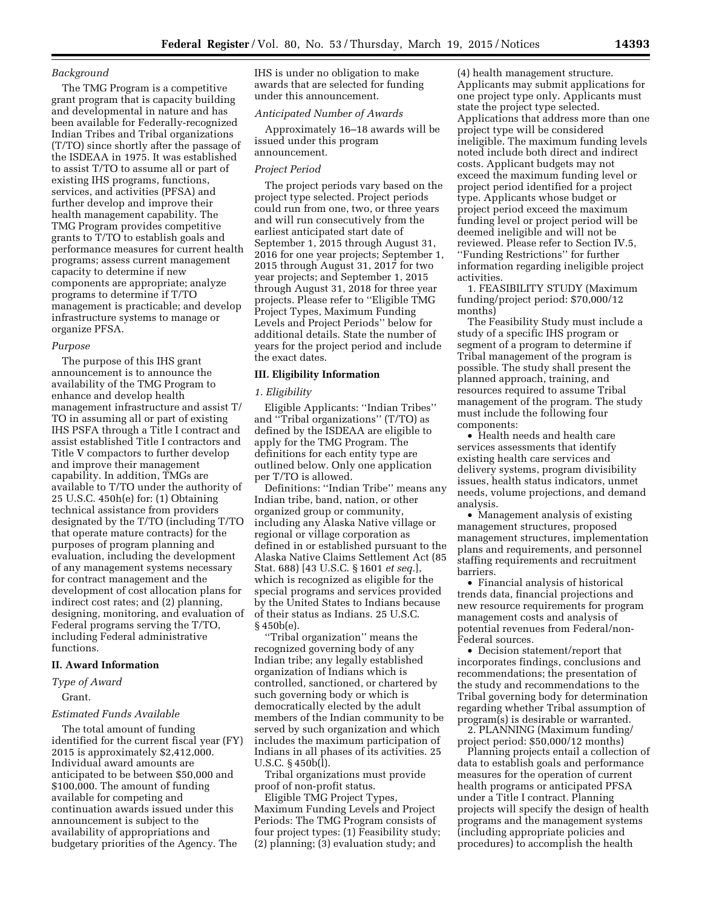## *Background*

The TMG Program is a competitive grant program that is capacity building and developmental in nature and has been available for Federally-recognized Indian Tribes and Tribal organizations (T/TO) since shortly after the passage of the ISDEAA in 1975. It was established to assist T/TO to assume all or part of existing IHS programs, functions, services, and activities (PFSA) and further develop and improve their health management capability. The TMG Program provides competitive grants to T/TO to establish goals and performance measures for current health programs; assess current management capacity to determine if new components are appropriate; analyze programs to determine if T/TO management is practicable; and develop infrastructure systems to manage or organize PFSA.

### *Purpose*

The purpose of this IHS grant announcement is to announce the availability of the TMG Program to enhance and develop health management infrastructure and assist T/ TO in assuming all or part of existing IHS PSFA through a Title I contract and assist established Title I contractors and Title V compactors to further develop and improve their management capability. In addition, TMGs are available to T/TO under the authority of 25 U.S.C. 450h(e) for: (1) Obtaining technical assistance from providers designated by the T/TO (including T/TO that operate mature contracts) for the purposes of program planning and evaluation, including the development of any management systems necessary for contract management and the development of cost allocation plans for indirect cost rates; and (2) planning, designing, monitoring, and evaluation of Federal programs serving the T/TO, including Federal administrative functions.

#### **II. Award Information**

# *Type of Award*

## Grant.

### *Estimated Funds Available*

The total amount of funding identified for the current fiscal year (FY) 2015 is approximately \$2,412,000. Individual award amounts are anticipated to be between \$50,000 and \$100,000. The amount of funding available for competing and continuation awards issued under this announcement is subject to the availability of appropriations and budgetary priorities of the Agency. The

IHS is under no obligation to make awards that are selected for funding under this announcement.

### *Anticipated Number of Awards*

Approximately 16–18 awards will be issued under this program announcement.

#### *Project Period*

The project periods vary based on the project type selected. Project periods could run from one, two, or three years and will run consecutively from the earliest anticipated start date of September 1, 2015 through August 31, 2016 for one year projects; September 1, 2015 through August 31, 2017 for two year projects; and September 1, 2015 through August 31, 2018 for three year projects. Please refer to ''Eligible TMG Project Types, Maximum Funding Levels and Project Periods'' below for additional details. State the number of years for the project period and include the exact dates.

#### **III. Eligibility Information**

### *1. Eligibility*

Eligible Applicants: ''Indian Tribes'' and ''Tribal organizations'' (T/TO) as defined by the ISDEAA are eligible to apply for the TMG Program. The definitions for each entity type are outlined below. Only one application per T/TO is allowed.

Definitions: ''Indian Tribe'' means any Indian tribe, band, nation, or other organized group or community, including any Alaska Native village or regional or village corporation as defined in or established pursuant to the Alaska Native Claims Settlement Act (85 Stat. 688) [43 U.S.C. § 1601 *et seq.*], which is recognized as eligible for the special programs and services provided by the United States to Indians because of their status as Indians. 25 U.S.C. § 450b(e).

''Tribal organization'' means the recognized governing body of any Indian tribe; any legally established organization of Indians which is controlled, sanctioned, or chartered by such governing body or which is democratically elected by the adult members of the Indian community to be served by such organization and which includes the maximum participation of Indians in all phases of its activities. 25 U.S.C. § 450b(l).

Tribal organizations must provide proof of non-profit status.

Eligible TMG Project Types, Maximum Funding Levels and Project Periods: The TMG Program consists of four project types: (1) Feasibility study; (2) planning; (3) evaluation study; and

(4) health management structure. Applicants may submit applications for one project type only. Applicants must state the project type selected. Applications that address more than one project type will be considered ineligible. The maximum funding levels noted include both direct and indirect costs. Applicant budgets may not exceed the maximum funding level or project period identified for a project type. Applicants whose budget or project period exceed the maximum funding level or project period will be deemed ineligible and will not be reviewed. Please refer to Section IV.5, ''Funding Restrictions'' for further information regarding ineligible project activities.

1. FEASIBILITY STUDY (Maximum funding/project period: \$70,000/12 months)

The Feasibility Study must include a study of a specific IHS program or segment of a program to determine if Tribal management of the program is possible. The study shall present the planned approach, training, and resources required to assume Tribal management of the program. The study must include the following four components:

• Health needs and health care services assessments that identify existing health care services and delivery systems, program divisibility issues, health status indicators, unmet needs, volume projections, and demand analysis.

• Management analysis of existing management structures, proposed management structures, implementation plans and requirements, and personnel staffing requirements and recruitment barriers.

• Financial analysis of historical trends data, financial projections and new resource requirements for program management costs and analysis of potential revenues from Federal/non-Federal sources.

• Decision statement/report that incorporates findings, conclusions and recommendations; the presentation of the study and recommendations to the Tribal governing body for determination regarding whether Tribal assumption of program(s) is desirable or warranted.

2. PLANNING (Maximum funding/ project period: \$50,000/12 months)

Planning projects entail a collection of data to establish goals and performance measures for the operation of current health programs or anticipated PFSA under a Title I contract. Planning projects will specify the design of health programs and the management systems (including appropriate policies and procedures) to accomplish the health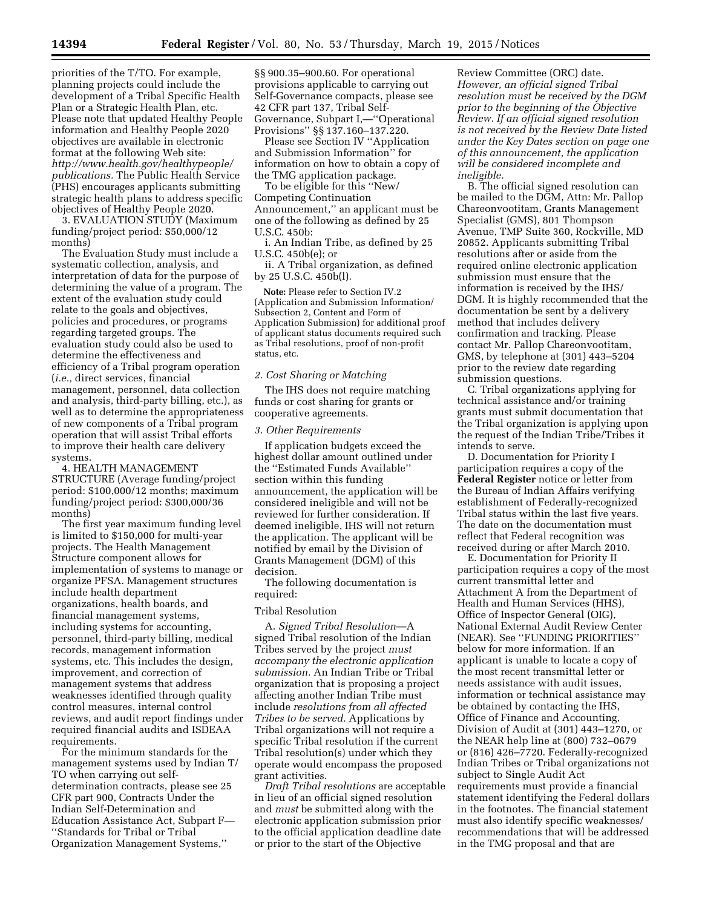priorities of the T/TO. For example, planning projects could include the development of a Tribal Specific Health Plan or a Strategic Health Plan, etc. Please note that updated Healthy People information and Healthy People 2020 objectives are available in electronic format at the following Web site: *[http://www.health.gov/healthypeople/](http://www.health.gov/healthypeople/publications) [publications.](http://www.health.gov/healthypeople/publications)* The Public Health Service (PHS) encourages applicants submitting strategic health plans to address specific objectives of Healthy People 2020.

3. EVALUATION STUDY (Maximum funding/project period: \$50,000/12 months)

The Evaluation Study must include a systematic collection, analysis, and interpretation of data for the purpose of determining the value of a program. The extent of the evaluation study could relate to the goals and objectives, policies and procedures, or programs regarding targeted groups. The evaluation study could also be used to determine the effectiveness and efficiency of a Tribal program operation (*i.e.,* direct services, financial management, personnel, data collection and analysis, third-party billing, etc.), as well as to determine the appropriateness of new components of a Tribal program operation that will assist Tribal efforts to improve their health care delivery systems.

4. HEALTH MANAGEMENT STRUCTURE (Average funding/project period: \$100,000/12 months; maximum funding/project period: \$300,000/36 months)

The first year maximum funding level is limited to \$150,000 for multi-year projects. The Health Management Structure component allows for implementation of systems to manage or organize PFSA. Management structures include health department organizations, health boards, and financial management systems, including systems for accounting, personnel, third-party billing, medical records, management information systems, etc. This includes the design, improvement, and correction of management systems that address weaknesses identified through quality control measures, internal control reviews, and audit report findings under required financial audits and ISDEAA requirements.

For the minimum standards for the management systems used by Indian T/ TO when carrying out selfdetermination contracts, please see 25 CFR part 900, Contracts Under the Indian Self-Determination and Education Assistance Act, Subpart F— ''Standards for Tribal or Tribal Organization Management Systems,''

§§ 900.35–900.60. For operational provisions applicable to carrying out Self-Governance compacts, please see 42 CFR part 137, Tribal Self-Governance, Subpart I,—''Operational Provisions'' §§ 137.160–137.220.

Please see Section IV ''Application and Submission Information'' for information on how to obtain a copy of the TMG application package.

To be eligible for this ''New/ Competing Continuation Announcement,'' an applicant must be one of the following as defined by 25 U.S.C. 450b:

i. An Indian Tribe, as defined by 25 U.S.C. 450b(e); or

ii. A Tribal organization, as defined by 25 U.S.C. 450b(l).

**Note:** Please refer to Section IV.2 (Application and Submission Information/ Subsection 2, Content and Form of Application Submission) for additional proof of applicant status documents required such as Tribal resolutions, proof of non-profit status, etc.

### *2. Cost Sharing or Matching*

The IHS does not require matching funds or cost sharing for grants or cooperative agreements.

#### *3. Other Requirements*

If application budgets exceed the highest dollar amount outlined under the ''Estimated Funds Available'' section within this funding announcement, the application will be considered ineligible and will not be reviewed for further consideration. If deemed ineligible, IHS will not return the application. The applicant will be notified by email by the Division of Grants Management (DGM) of this decision.

The following documentation is required:

### Tribal Resolution

A. *Signed Tribal Resolution*—A signed Tribal resolution of the Indian Tribes served by the project *must accompany the electronic application submission.* An Indian Tribe or Tribal organization that is proposing a project affecting another Indian Tribe must include *resolutions from all affected Tribes to be served.* Applications by Tribal organizations will not require a specific Tribal resolution if the current Tribal resolution(s) under which they operate would encompass the proposed grant activities.

*Draft Tribal resolutions* are acceptable in lieu of an official signed resolution and *must* be submitted along with the electronic application submission prior to the official application deadline date or prior to the start of the Objective

Review Committee (ORC) date. *However, an official signed Tribal resolution must be received by the DGM prior to the beginning of the Objective Review. If an official signed resolution is not received by the Review Date listed under the Key Dates section on page one of this announcement, the application will be considered incomplete and ineligible.* 

B. The official signed resolution can be mailed to the DGM, Attn: Mr. Pallop Chareonvootitam, Grants Management Specialist (GMS), 801 Thompson Avenue, TMP Suite 360, Rockville, MD 20852. Applicants submitting Tribal resolutions after or aside from the required online electronic application submission must ensure that the information is received by the IHS/ DGM. It is highly recommended that the documentation be sent by a delivery method that includes delivery confirmation and tracking. Please contact Mr. Pallop Chareonvootitam, GMS, by telephone at (301) 443–5204 prior to the review date regarding submission questions.

C. Tribal organizations applying for technical assistance and/or training grants must submit documentation that the Tribal organization is applying upon the request of the Indian Tribe/Tribes it intends to serve.

D. Documentation for Priority I participation requires a copy of the **Federal Register** notice or letter from the Bureau of Indian Affairs verifying establishment of Federally-recognized Tribal status within the last five years. The date on the documentation must reflect that Federal recognition was received during or after March 2010.

E. Documentation for Priority II participation requires a copy of the most current transmittal letter and Attachment A from the Department of Health and Human Services (HHS), Office of Inspector General (OIG), National External Audit Review Center (NEAR). See ''FUNDING PRIORITIES'' below for more information. If an applicant is unable to locate a copy of the most recent transmittal letter or needs assistance with audit issues, information or technical assistance may be obtained by contacting the IHS, Office of Finance and Accounting, Division of Audit at (301) 443–1270, or the NEAR help line at (800) 732–0679 or (816) 426–7720. Federally-recognized Indian Tribes or Tribal organizations not subject to Single Audit Act requirements must provide a financial statement identifying the Federal dollars in the footnotes. The financial statement must also identify specific weaknesses/ recommendations that will be addressed in the TMG proposal and that are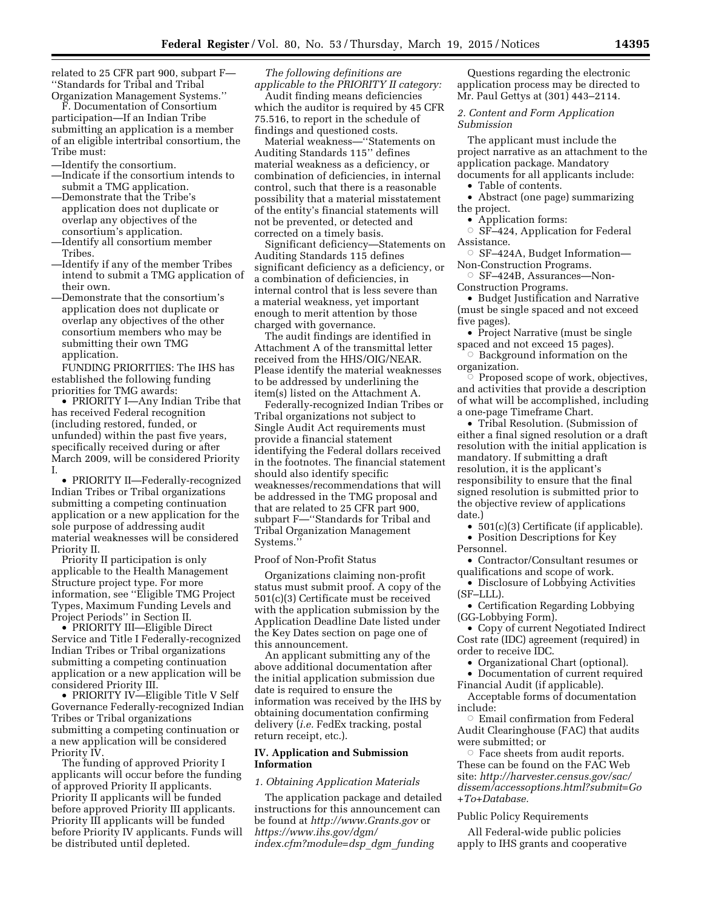related to 25 CFR part 900, subpart F— ''Standards for Tribal and Tribal Organization Management Systems.''

F. Documentation of Consortium participation—If an Indian Tribe submitting an application is a member of an eligible intertribal consortium, the Tribe must:

- —Identify the consortium.
- —Indicate if the consortium intends to submit a TMG application.
- —Demonstrate that the Tribe's application does not duplicate or overlap any objectives of the consortium's application.
- —Identify all consortium member Tribes.
- —Identify if any of the member Tribes intend to submit a TMG application of their own.
- —Demonstrate that the consortium's application does not duplicate or overlap any objectives of the other consortium members who may be submitting their own TMG application.

FUNDING PRIORITIES: The IHS has established the following funding priorities for TMG awards:

• PRIORITY I—Any Indian Tribe that has received Federal recognition (including restored, funded, or unfunded) within the past five years, specifically received during or after March 2009, will be considered Priority I.

• PRIORITY II—Federally-recognized Indian Tribes or Tribal organizations submitting a competing continuation application or a new application for the sole purpose of addressing audit material weaknesses will be considered Priority II.

Priority II participation is only applicable to the Health Management Structure project type. For more information, see ''Eligible TMG Project Types, Maximum Funding Levels and Project Periods'' in Section II.

• PRIORITY III—Eligible Direct Service and Title I Federally-recognized Indian Tribes or Tribal organizations submitting a competing continuation application or a new application will be considered Priority III.

• PRIORITY IV—Eligible Title V Self Governance Federally-recognized Indian Tribes or Tribal organizations submitting a competing continuation or a new application will be considered Priority IV.

The funding of approved Priority I applicants will occur before the funding of approved Priority II applicants. Priority II applicants will be funded before approved Priority III applicants. Priority III applicants will be funded before Priority IV applicants. Funds will be distributed until depleted.

*The following definitions are applicable to the PRIORITY II category:* 

Audit finding means deficiencies which the auditor is required by 45 CFR 75.516, to report in the schedule of findings and questioned costs.

Material weakness—''Statements on Auditing Standards 115'' defines material weakness as a deficiency, or combination of deficiencies, in internal control, such that there is a reasonable possibility that a material misstatement of the entity's financial statements will not be prevented, or detected and corrected on a timely basis.

Significant deficiency—Statements on Auditing Standards 115 defines significant deficiency as a deficiency, or a combination of deficiencies, in internal control that is less severe than a material weakness, yet important enough to merit attention by those charged with governance.

The audit findings are identified in Attachment A of the transmittal letter received from the HHS/OIG/NEAR. Please identify the material weaknesses to be addressed by underlining the item(s) listed on the Attachment A.

Federally-recognized Indian Tribes or Tribal organizations not subject to Single Audit Act requirements must provide a financial statement identifying the Federal dollars received in the footnotes. The financial statement should also identify specific weaknesses/recommendations that will be addressed in the TMG proposal and that are related to 25 CFR part 900, subpart F—''Standards for Tribal and Tribal Organization Management Systems.''

### Proof of Non-Profit Status

Organizations claiming non-profit status must submit proof. A copy of the 501(c)(3) Certificate must be received with the application submission by the Application Deadline Date listed under the Key Dates section on page one of this announcement.

An applicant submitting any of the above additional documentation after the initial application submission due date is required to ensure the information was received by the IHS by obtaining documentation confirming delivery (*i.e.* FedEx tracking, postal return receipt, etc.).

## **IV. Application and Submission Information**

## *1. Obtaining Application Materials*

The application package and detailed instructions for this announcement can be found at *<http://www.Grants.gov>*or *[https://www.ihs.gov/dgm/](https://www.ihs.gov/dgm/index.cfm?module=dsp_dgm_funding) [index.cfm?module=dsp](https://www.ihs.gov/dgm/index.cfm?module=dsp_dgm_funding)*\_*dgm*\_*funding* 

Questions regarding the electronic application process may be directed to Mr. Paul Gettys at (301) 443–2114.

## *2. Content and Form Application Submission*

The applicant must include the project narrative as an attachment to the application package. Mandatory documents for all applicants include:

• Table of contents.

• Abstract (one page) summarizing the project.

- Application forms:
- $\circ$  SF–424, Application for Federal Assistance.
- SF-424A, Budget Information— Non-Construction Programs.
- Æ SF–424B, Assurances—Non-Construction Programs.
- Budget Justification and Narrative (must be single spaced and not exceed five pages).
- Project Narrative (must be single spaced and not exceed 15 pages).
- $\circ$  Background information on the organization.

 $\degree$  Proposed scope of work, objectives, and activities that provide a description of what will be accomplished, including a one-page Timeframe Chart.

• Tribal Resolution. (Submission of either a final signed resolution or a draft resolution with the initial application is mandatory. If submitting a draft resolution, it is the applicant's responsibility to ensure that the final signed resolution is submitted prior to the objective review of applications date.)

- 501(c)(3) Certificate (if applicable).
- Position Descriptions for Key Personnel.

• Contractor/Consultant resumes or qualifications and scope of work.

- Disclosure of Lobbying Activities (SF–LLL).
- Certification Regarding Lobbying (GG-Lobbying Form).
- Copy of current Negotiated Indirect Cost rate (IDC) agreement (required) in order to receive IDC.
	- Organizational Chart (optional).
- Documentation of current required Financial Audit (if applicable).
- Acceptable forms of documentation include:
- $\circ~$  Email confirmation from Federal Audit Clearinghouse (FAC) that audits were submitted; or
- $\circ$  Face sheets from audit reports. These can be found on the FAC Web site: *[http://harvester.census.gov/sac/](http://harvester.census.gov/sac/dissem/accessoptions.html?submit=Go+To+Database) [dissem/accessoptions.html?submit=Go](http://harvester.census.gov/sac/dissem/accessoptions.html?submit=Go+To+Database) [+To+Database.](http://harvester.census.gov/sac/dissem/accessoptions.html?submit=Go+To+Database)*

#### Public Policy Requirements

All Federal-wide public policies apply to IHS grants and cooperative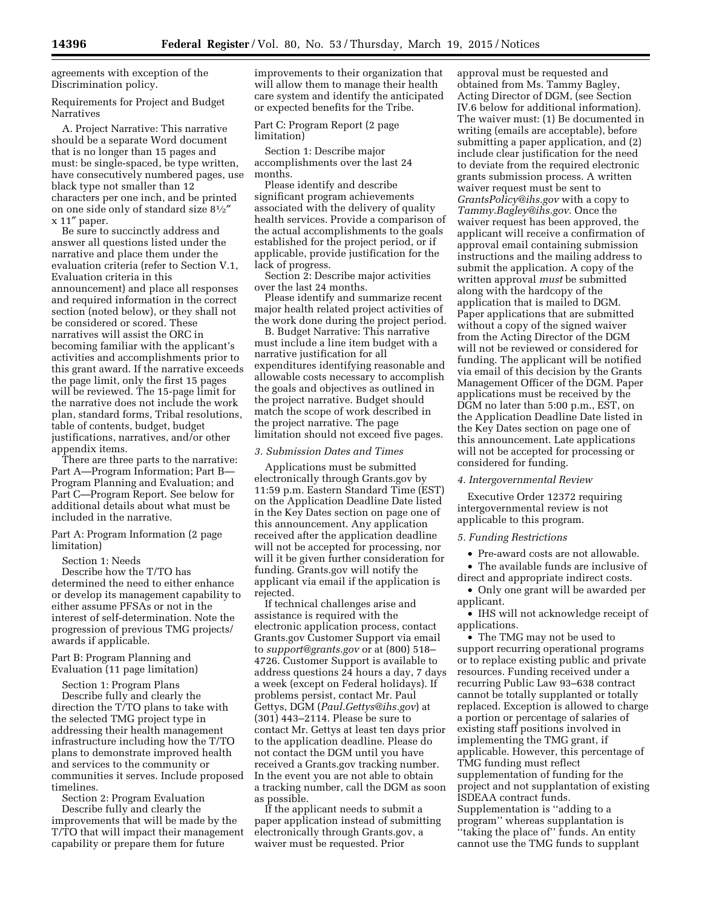agreements with exception of the Discrimination policy.

Requirements for Project and Budget Narratives

A. Project Narrative: This narrative should be a separate Word document that is no longer than 15 pages and must: be single-spaced, be type written, have consecutively numbered pages, use black type not smaller than 12 characters per one inch, and be printed on one side only of standard size 81⁄2″ x 11″ paper.

Be sure to succinctly address and answer all questions listed under the narrative and place them under the evaluation criteria (refer to Section V.1, Evaluation criteria in this announcement) and place all responses and required information in the correct section (noted below), or they shall not be considered or scored. These narratives will assist the ORC in becoming familiar with the applicant's activities and accomplishments prior to this grant award. If the narrative exceeds the page limit, only the first 15 pages will be reviewed. The 15-page limit for the narrative does not include the work plan, standard forms, Tribal resolutions, table of contents, budget, budget justifications, narratives, and/or other appendix items.

There are three parts to the narrative: Part A—Program Information; Part B— Program Planning and Evaluation; and Part C—Program Report. See below for additional details about what must be included in the narrative.

Part A: Program Information (2 page limitation)

Section 1: Needs

Describe how the T/TO has determined the need to either enhance or develop its management capability to either assume PFSAs or not in the interest of self-determination. Note the progression of previous TMG projects/ awards if applicable.

Part B: Program Planning and Evaluation (11 page limitation)

Section 1: Program Plans Describe fully and clearly the direction the T/TO plans to take with the selected TMG project type in addressing their health management infrastructure including how the T/TO plans to demonstrate improved health and services to the community or communities it serves. Include proposed timelines.

Section 2: Program Evaluation Describe fully and clearly the improvements that will be made by the T/TO that will impact their management capability or prepare them for future

improvements to their organization that will allow them to manage their health care system and identify the anticipated or expected benefits for the Tribe.

Part C: Program Report (2 page limitation)

Section 1: Describe major accomplishments over the last 24 months.

Please identify and describe significant program achievements associated with the delivery of quality health services. Provide a comparison of the actual accomplishments to the goals established for the project period, or if applicable, provide justification for the lack of progress.

Section 2: Describe major activities over the last 24 months.

Please identify and summarize recent major health related project activities of the work done during the project period.

B. Budget Narrative: This narrative must include a line item budget with a narrative justification for all expenditures identifying reasonable and allowable costs necessary to accomplish the goals and objectives as outlined in the project narrative. Budget should match the scope of work described in the project narrative. The page limitation should not exceed five pages.

### *3. Submission Dates and Times*

Applications must be submitted electronically through Grants.gov by 11:59 p.m. Eastern Standard Time (EST) on the Application Deadline Date listed in the Key Dates section on page one of this announcement. Any application received after the application deadline will not be accepted for processing, nor will it be given further consideration for funding. Grants.gov will notify the applicant via email if the application is rejected.

If technical challenges arise and assistance is required with the electronic application process, contact Grants.gov Customer Support via email to *[support@grants.gov](mailto:support@grants.gov)* or at (800) 518– 4726. Customer Support is available to address questions 24 hours a day, 7 days a week (except on Federal holidays). If problems persist, contact Mr. Paul Gettys, DGM (*[Paul.Gettys@ihs.gov](mailto:Paul.Gettys@ihs.gov)*) at (301) 443–2114. Please be sure to contact Mr. Gettys at least ten days prior to the application deadline. Please do not contact the DGM until you have received a Grants.gov tracking number. In the event you are not able to obtain a tracking number, call the DGM as soon as possible.

If the applicant needs to submit a paper application instead of submitting electronically through Grants.gov, a waiver must be requested. Prior

approval must be requested and obtained from Ms. Tammy Bagley, Acting Director of DGM, (see Section IV.6 below for additional information). The waiver must: (1) Be documented in writing (emails are acceptable), before submitting a paper application, and (2) include clear justification for the need to deviate from the required electronic grants submission process. A written waiver request must be sent to *[GrantsPolicy@ihs.gov](mailto:GrantsPolicy@ihs.gov)* with a copy to *[Tammy.Bagley@ihs.gov.](mailto:Tammy.Bagley@ihs.gov)* Once the waiver request has been approved, the applicant will receive a confirmation of approval email containing submission instructions and the mailing address to submit the application. A copy of the written approval *must* be submitted along with the hardcopy of the application that is mailed to DGM. Paper applications that are submitted without a copy of the signed waiver from the Acting Director of the DGM will not be reviewed or considered for funding. The applicant will be notified via email of this decision by the Grants Management Officer of the DGM. Paper applications must be received by the DGM no later than 5:00 p.m., EST, on the Application Deadline Date listed in the Key Dates section on page one of this announcement. Late applications will not be accepted for processing or considered for funding.

### *4. Intergovernmental Review*

Executive Order 12372 requiring intergovernmental review is not applicable to this program.

#### *5. Funding Restrictions*

• Pre-award costs are not allowable.

• The available funds are inclusive of direct and appropriate indirect costs.

• Only one grant will be awarded per applicant.

• IHS will not acknowledge receipt of applications.

• The TMG may not be used to support recurring operational programs or to replace existing public and private resources. Funding received under a recurring Public Law 93–638 contract cannot be totally supplanted or totally replaced. Exception is allowed to charge a portion or percentage of salaries of existing staff positions involved in implementing the TMG grant, if applicable. However, this percentage of TMG funding must reflect supplementation of funding for the project and not supplantation of existing ISDEAA contract funds. Supplementation is ''adding to a program'' whereas supplantation is "taking the place of" funds. An entity cannot use the TMG funds to supplant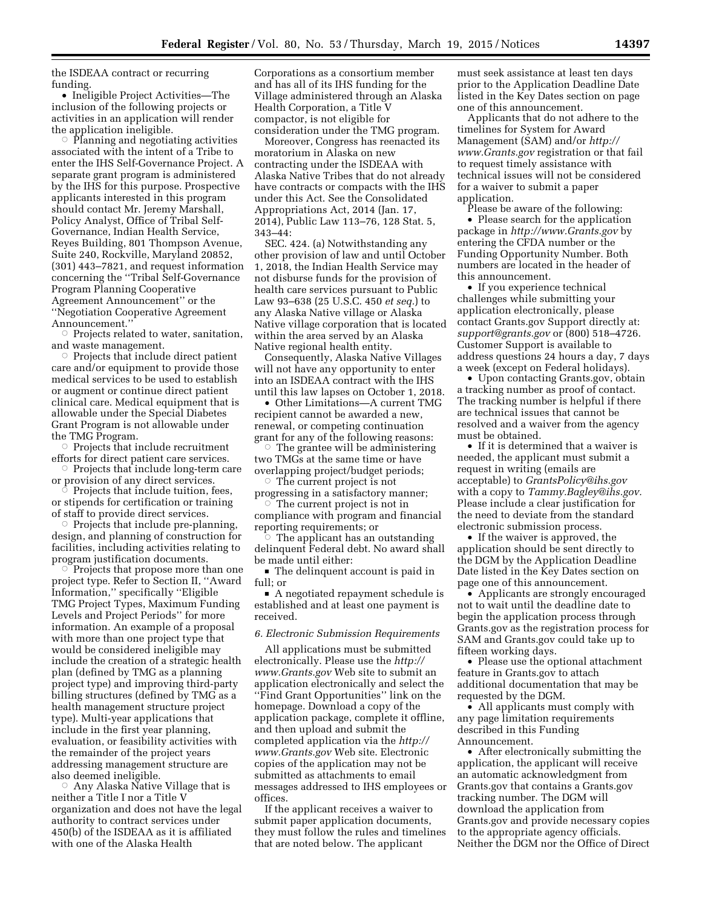the ISDEAA contract or recurring funding.

• Ineligible Project Activities—The inclusion of the following projects or activities in an application will render the application ineligible.

 $\circ$  Planning and negotiating activities associated with the intent of a Tribe to enter the IHS Self-Governance Project. A separate grant program is administered by the IHS for this purpose. Prospective applicants interested in this program should contact Mr. Jeremy Marshall, Policy Analyst, Office of Tribal Self-Governance, Indian Health Service, Reyes Building, 801 Thompson Avenue, Suite 240, Rockville, Maryland 20852, (301) 443–7821, and request information concerning the ''Tribal Self-Governance Program Planning Cooperative Agreement Announcement'' or the ''Negotiation Cooperative Agreement Announcement.''<br>○ Proiects relate

 Projects related to water, sanitation, and waste management.

 $\circ$  Projects that include direct patient care and/or equipment to provide those medical services to be used to establish or augment or continue direct patient clinical care. Medical equipment that is allowable under the Special Diabetes Grant Program is not allowable under the TMG Program.

 $\circ$  Projects that include recruitment efforts for direct patient care services.

Projects that include long-term care

or provision of any direct services.<br>© Proiects that include tuition. fe Projects that include tuition, fees, or stipends for certification or training of staff to provide direct services.

Projects that include pre-planning, design, and planning of construction for facilities, including activities relating to program justification documents.

 $\circ$  Projects that propose more than one project type. Refer to Section II, ''Award Information,'' specifically ''Eligible TMG Project Types, Maximum Funding Levels and Project Periods'' for more information. An example of a proposal with more than one project type that would be considered ineligible may include the creation of a strategic health plan (defined by TMG as a planning project type) and improving third-party billing structures (defined by TMG as a health management structure project type). Multi-year applications that include in the first year planning, evaluation, or feasibility activities with the remainder of the project years addressing management structure are also deemed ineligible.

 $\circ$  Any Alaska Native Village that is neither a Title I nor a Title V organization and does not have the legal authority to contract services under 450(b) of the ISDEAA as it is affiliated with one of the Alaska Health

Corporations as a consortium member and has all of its IHS funding for the Village administered through an Alaska Health Corporation, a Title V compactor, is not eligible for consideration under the TMG program.

Moreover, Congress has reenacted its moratorium in Alaska on new contracting under the ISDEAA with Alaska Native Tribes that do not already have contracts or compacts with the IHS under this Act. See the Consolidated Appropriations Act, 2014 (Jan. 17, 2014), Public Law 113–76, 128 Stat. 5, 343–44:

SEC. 424. (a) Notwithstanding any other provision of law and until October 1, 2018, the Indian Health Service may not disburse funds for the provision of health care services pursuant to Public Law 93–638 (25 U.S.C. 450 *et seq.*) to any Alaska Native village or Alaska Native village corporation that is located within the area served by an Alaska Native regional health entity.

Consequently, Alaska Native Villages will not have any opportunity to enter into an ISDEAA contract with the IHS until this law lapses on October 1, 2018.

• Other Limitations—A current TMG recipient cannot be awarded a new, renewal, or competing continuation grant for any of the following reasons:

 $\circ$  The grantee will be administering two TMGs at the same time or have overlapping project/budget periods;

 $\circ$  The current project is not progressing in a satisfactory manner; Æ

 The current project is not in compliance with program and financial reporting requirements; or<br>The applicant has an c

 The applicant has an outstanding delinquent Federal debt. No award shall be made until either:

■ The delinquent account is paid in full; or

 $\blacksquare$  A negotiated repayment schedule is established and at least one payment is received.

*6. Electronic Submission Requirements* 

All applications must be submitted electronically. Please use the *[http://](http://www.Grants.gov) [www.Grants.gov](http://www.Grants.gov)* Web site to submit an application electronically and select the ''Find Grant Opportunities'' link on the homepage. Download a copy of the application package, complete it offline, and then upload and submit the completed application via the *[http://](http://www.Grants.gov) [www.Grants.gov](http://www.Grants.gov)* Web site. Electronic copies of the application may not be submitted as attachments to email messages addressed to IHS employees or offices.

If the applicant receives a waiver to submit paper application documents, they must follow the rules and timelines that are noted below. The applicant

must seek assistance at least ten days prior to the Application Deadline Date listed in the Key Dates section on page one of this announcement.

Applicants that do not adhere to the timelines for System for Award Management (SAM) and/or *[http://](http://www.Grants.gov) [www.Grants.gov](http://www.Grants.gov)* registration or that fail to request timely assistance with technical issues will not be considered for a waiver to submit a paper application.

Please be aware of the following: • Please search for the application package in *<http://www.Grants.gov>* by entering the CFDA number or the Funding Opportunity Number. Both numbers are located in the header of this announcement.

• If you experience technical challenges while submitting your application electronically, please contact Grants.gov Support directly at: *[support@grants.gov](mailto:support@grants.gov)* or (800) 518–4726. Customer Support is available to address questions 24 hours a day, 7 days a week (except on Federal holidays).

• Upon contacting Grants.gov, obtain a tracking number as proof of contact. The tracking number is helpful if there are technical issues that cannot be resolved and a waiver from the agency must be obtained.

• If it is determined that a waiver is needed, the applicant must submit a request in writing (emails are acceptable) to *[GrantsPolicy@ihs.gov](mailto:GrantsPolicy@ihs.gov)*  with a copy to *[Tammy.Bagley@ihs.gov.](mailto:Tammy.Bagley@ihs.gov)*  Please include a clear justification for the need to deviate from the standard electronic submission process.

• If the waiver is approved, the application should be sent directly to the DGM by the Application Deadline Date listed in the Key Dates section on page one of this announcement.

• Applicants are strongly encouraged not to wait until the deadline date to begin the application process through Grants.gov as the registration process for SAM and Grants.gov could take up to fifteen working days.

• Please use the optional attachment feature in Grants.gov to attach additional documentation that may be requested by the DGM.

• All applicants must comply with any page limitation requirements described in this Funding Announcement.

• After electronically submitting the application, the applicant will receive an automatic acknowledgment from Grants.gov that contains a Grants.gov tracking number. The DGM will download the application from Grants.gov and provide necessary copies to the appropriate agency officials. Neither the DGM nor the Office of Direct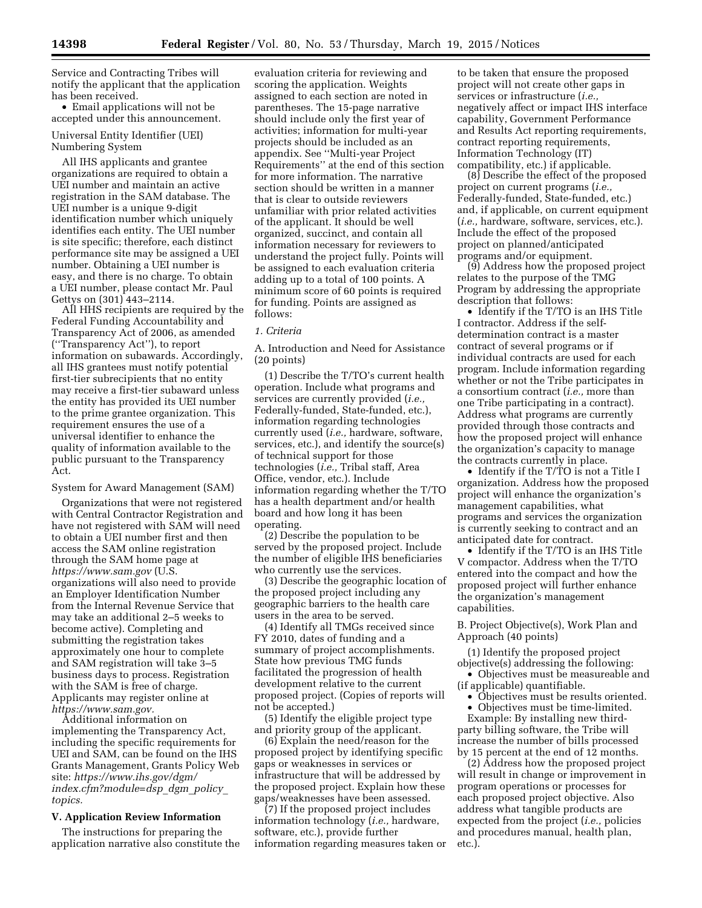Service and Contracting Tribes will notify the applicant that the application has been received.

• Email applications will not be accepted under this announcement.

Universal Entity Identifier (UEI) Numbering System

All IHS applicants and grantee organizations are required to obtain a UEI number and maintain an active registration in the SAM database. The UEI number is a unique 9-digit identification number which uniquely identifies each entity. The UEI number is site specific; therefore, each distinct performance site may be assigned a UEI number. Obtaining a UEI number is easy, and there is no charge. To obtain a UEI number, please contact Mr. Paul Gettys on (301) 443–2114.

All HHS recipients are required by the Federal Funding Accountability and Transparency Act of 2006, as amended (''Transparency Act''), to report information on subawards. Accordingly, all IHS grantees must notify potential first-tier subrecipients that no entity may receive a first-tier subaward unless the entity has provided its UEI number to the prime grantee organization. This requirement ensures the use of a universal identifier to enhance the quality of information available to the public pursuant to the Transparency Act.

### System for Award Management (SAM)

Organizations that were not registered with Central Contractor Registration and have not registered with SAM will need to obtain a UEI number first and then access the SAM online registration through the SAM home page at *<https://www.sam.gov>* (U.S. organizations will also need to provide an Employer Identification Number from the Internal Revenue Service that may take an additional 2–5 weeks to become active). Completing and submitting the registration takes approximately one hour to complete and SAM registration will take 3–5 business days to process. Registration with the SAM is free of charge. Applicants may register online at *[https://www.sam.gov.](https://www.sam.gov)* 

Additional information on implementing the Transparency Act, including the specific requirements for UEI and SAM, can be found on the IHS Grants Management, Grants Policy Web site: *[https://www.ihs.gov/dgm/](https://www.ihs.gov/dgm/index.cfm?module=dsp_dgm_policy_topics) [index.cfm?module=dsp](https://www.ihs.gov/dgm/index.cfm?module=dsp_dgm_policy_topics)*\_*dgm*\_*policy*\_ *[topics.](https://www.ihs.gov/dgm/index.cfm?module=dsp_dgm_policy_topics)* 

### **V. Application Review Information**

The instructions for preparing the application narrative also constitute the

evaluation criteria for reviewing and scoring the application. Weights assigned to each section are noted in parentheses. The 15-page narrative should include only the first year of activities; information for multi-year projects should be included as an appendix. See ''Multi-year Project Requirements'' at the end of this section for more information. The narrative section should be written in a manner that is clear to outside reviewers unfamiliar with prior related activities of the applicant. It should be well organized, succinct, and contain all information necessary for reviewers to understand the project fully. Points will be assigned to each evaluation criteria adding up to a total of 100 points. A minimum score of 60 points is required for funding. Points are assigned as follows:

### *1. Criteria*

A. Introduction and Need for Assistance (20 points)

(1) Describe the T/TO's current health operation. Include what programs and services are currently provided (*i.e.,*  Federally-funded, State-funded, etc.), information regarding technologies currently used (*i.e.,* hardware, software, services, etc.), and identify the source(s) of technical support for those technologies (*i.e.,* Tribal staff, Area Office, vendor, etc.). Include information regarding whether the T/TO has a health department and/or health board and how long it has been operating.

(2) Describe the population to be served by the proposed project. Include the number of eligible IHS beneficiaries who currently use the services.

(3) Describe the geographic location of the proposed project including any geographic barriers to the health care users in the area to be served.

(4) Identify all TMGs received since FY 2010, dates of funding and a summary of project accomplishments. State how previous TMG funds facilitated the progression of health development relative to the current proposed project. (Copies of reports will not be accepted.)

(5) Identify the eligible project type and priority group of the applicant.

(6) Explain the need/reason for the proposed project by identifying specific gaps or weaknesses in services or infrastructure that will be addressed by the proposed project. Explain how these gaps/weaknesses have been assessed.

(7) If the proposed project includes information technology (*i.e.,* hardware, software, etc.), provide further information regarding measures taken or

to be taken that ensure the proposed project will not create other gaps in services or infrastructure (*i.e.,*  negatively affect or impact IHS interface capability, Government Performance and Results Act reporting requirements, contract reporting requirements, Information Technology (IT) compatibility, etc.) if applicable.

(8) Describe the effect of the proposed project on current programs (*i.e.,*  Federally-funded, State-funded, etc.) and, if applicable, on current equipment (*i.e.,* hardware, software, services, etc.). Include the effect of the proposed project on planned/anticipated programs and/or equipment.

(9) Address how the proposed project relates to the purpose of the TMG Program by addressing the appropriate description that follows:

• Identify if the T/TO is an IHS Title I contractor. Address if the selfdetermination contract is a master contract of several programs or if individual contracts are used for each program. Include information regarding whether or not the Tribe participates in a consortium contract (*i.e.,* more than one Tribe participating in a contract). Address what programs are currently provided through those contracts and how the proposed project will enhance the organization's capacity to manage the contracts currently in place.

• Identify if the T/TO is not a Title I organization. Address how the proposed project will enhance the organization's management capabilities, what programs and services the organization is currently seeking to contract and an anticipated date for contract.

• Identify if the T/TO is an IHS Title V compactor. Address when the T/TO entered into the compact and how the proposed project will further enhance the organization's management capabilities.

B. Project Objective(s), Work Plan and Approach (40 points)

(1) Identify the proposed project objective(s) addressing the following:

• Objectives must be measureable and (if applicable) quantifiable.

• Objectives must be results oriented.

• Objectives must be time-limited.

Example: By installing new thirdparty billing software, the Tribe will increase the number of bills processed by 15 percent at the end of 12 months.

(2) Address how the proposed project will result in change or improvement in program operations or processes for each proposed project objective. Also address what tangible products are expected from the project (*i.e.,* policies and procedures manual, health plan, etc.).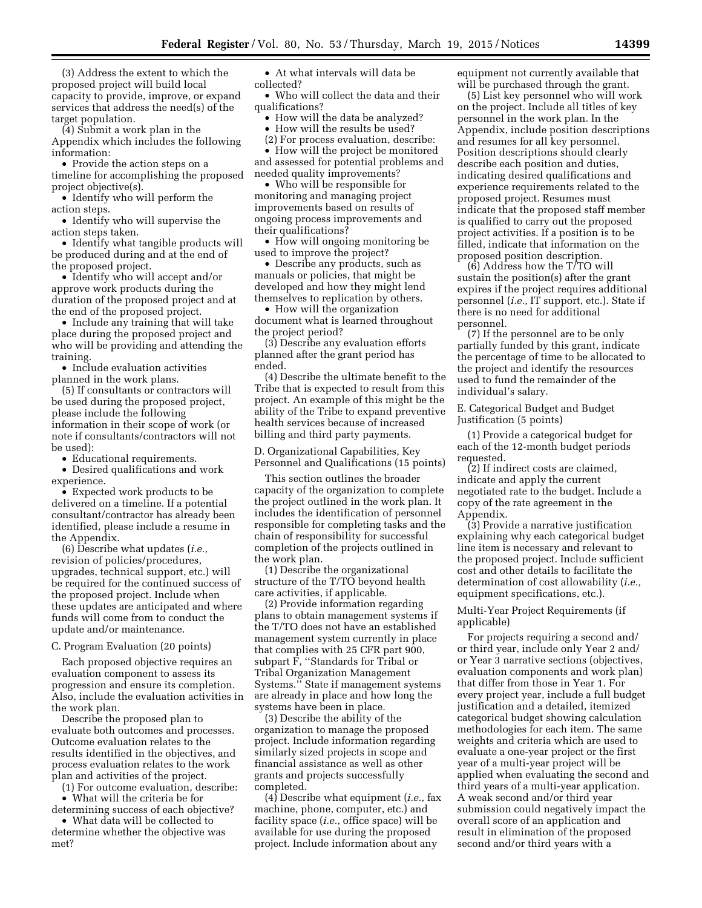(3) Address the extent to which the proposed project will build local capacity to provide, improve, or expand services that address the need(s) of the target population.

(4) Submit a work plan in the Appendix which includes the following information:

• Provide the action steps on a timeline for accomplishing the proposed project objective(s).

• Identify who will perform the action steps.

• Identify who will supervise the action steps taken.

• Identify what tangible products will be produced during and at the end of the proposed project.

• Identify who will accept and/or approve work products during the duration of the proposed project and at the end of the proposed project.

• Include any training that will take place during the proposed project and who will be providing and attending the training.

• Include evaluation activities planned in the work plans.

(5) If consultants or contractors will be used during the proposed project, please include the following information in their scope of work (or note if consultants/contractors will not be used):

• Educational requirements.

• Desired qualifications and work experience.

• Expected work products to be delivered on a timeline. If a potential consultant/contractor has already been identified, please include a resume in the Appendix.

(6) Describe what updates (*i.e.,*  revision of policies/procedures, upgrades, technical support, etc.) will be required for the continued success of the proposed project. Include when these updates are anticipated and where funds will come from to conduct the update and/or maintenance.

#### C. Program Evaluation (20 points)

Each proposed objective requires an evaluation component to assess its progression and ensure its completion. Also, include the evaluation activities in the work plan.

Describe the proposed plan to evaluate both outcomes and processes. Outcome evaluation relates to the results identified in the objectives, and process evaluation relates to the work plan and activities of the project.

(1) For outcome evaluation, describe: • What will the criteria be for

determining success of each objective?

• What data will be collected to determine whether the objective was met?

• At what intervals will data be collected?

• Who will collect the data and their qualifications?

• How will the data be analyzed?

• How will the results be used?

(2) For process evaluation, describe:

• How will the project be monitored and assessed for potential problems and needed quality improvements?

• Who will be responsible for monitoring and managing project improvements based on results of ongoing process improvements and their qualifications?

• How will ongoing monitoring be used to improve the project?

• Describe any products, such as manuals or policies, that might be developed and how they might lend themselves to replication by others.

• How will the organization document what is learned throughout the project period?

(3) Describe any evaluation efforts planned after the grant period has ended.

(4) Describe the ultimate benefit to the Tribe that is expected to result from this project. An example of this might be the ability of the Tribe to expand preventive health services because of increased billing and third party payments.

D. Organizational Capabilities, Key Personnel and Qualifications (15 points)

This section outlines the broader capacity of the organization to complete the project outlined in the work plan. It includes the identification of personnel responsible for completing tasks and the chain of responsibility for successful completion of the projects outlined in the work plan.

(1) Describe the organizational structure of the T/TO beyond health care activities, if applicable.

(2) Provide information regarding plans to obtain management systems if the T/TO does not have an established management system currently in place that complies with 25 CFR part 900, subpart F, ''Standards for Tribal or Tribal Organization Management Systems.'' State if management systems are already in place and how long the systems have been in place.

(3) Describe the ability of the organization to manage the proposed project. Include information regarding similarly sized projects in scope and financial assistance as well as other grants and projects successfully completed.

(4) Describe what equipment (*i.e.,* fax machine, phone, computer, etc.) and facility space (*i.e.,* office space) will be available for use during the proposed project. Include information about any

equipment not currently available that will be purchased through the grant.

(5) List key personnel who will work on the project. Include all titles of key personnel in the work plan. In the Appendix, include position descriptions and resumes for all key personnel. Position descriptions should clearly describe each position and duties, indicating desired qualifications and experience requirements related to the proposed project. Resumes must indicate that the proposed staff member is qualified to carry out the proposed project activities. If a position is to be filled, indicate that information on the proposed position description.

(6) Address how the T/TO will sustain the position(s) after the grant expires if the project requires additional personnel (*i.e.,* IT support, etc.). State if there is no need for additional personnel.

(7) If the personnel are to be only partially funded by this grant, indicate the percentage of time to be allocated to the project and identify the resources used to fund the remainder of the individual's salary.

E. Categorical Budget and Budget Justification (5 points)

(1) Provide a categorical budget for each of the 12-month budget periods requested.

(2) If indirect costs are claimed, indicate and apply the current negotiated rate to the budget. Include a copy of the rate agreement in the Appendix.

(3) Provide a narrative justification explaining why each categorical budget line item is necessary and relevant to the proposed project. Include sufficient cost and other details to facilitate the determination of cost allowability (*i.e.,*  equipment specifications, etc.).

Multi-Year Project Requirements (if applicable)

For projects requiring a second and/ or third year, include only Year 2 and/ or Year 3 narrative sections (objectives, evaluation components and work plan) that differ from those in Year 1. For every project year, include a full budget justification and a detailed, itemized categorical budget showing calculation methodologies for each item. The same weights and criteria which are used to evaluate a one-year project or the first year of a multi-year project will be applied when evaluating the second and third years of a multi-year application. A weak second and/or third year submission could negatively impact the overall score of an application and result in elimination of the proposed second and/or third years with a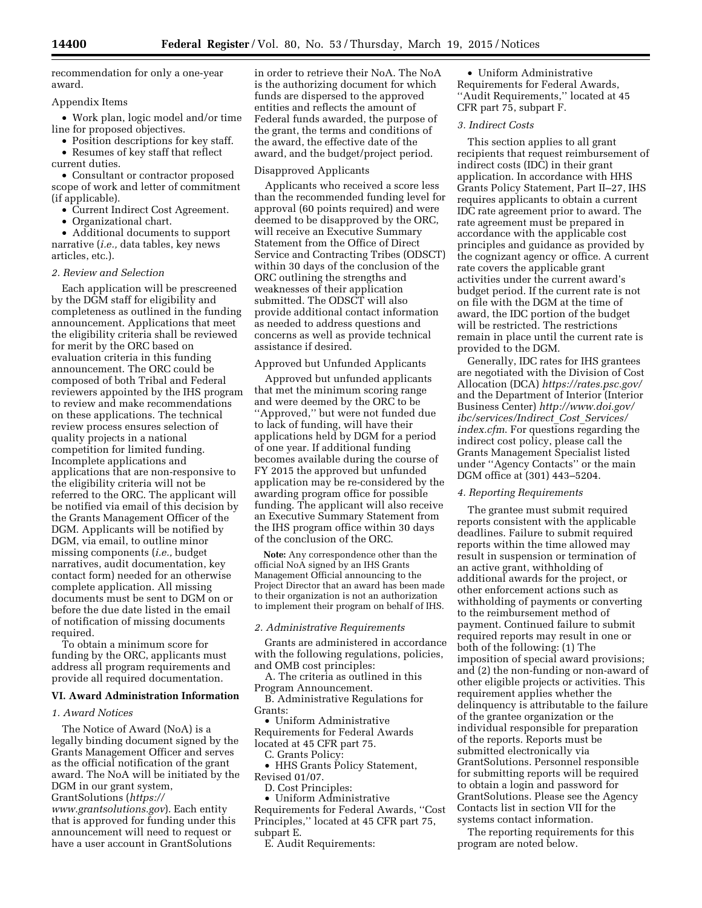recommendation for only a one-year award.

## Appendix Items

• Work plan, logic model and/or time line for proposed objectives.

• Position descriptions for key staff. • Resumes of key staff that reflect

current duties.

• Consultant or contractor proposed scope of work and letter of commitment (if applicable).

• Current Indirect Cost Agreement.

• Organizational chart.

• Additional documents to support narrative (*i.e.,* data tables, key news articles, etc.).

### *2. Review and Selection*

Each application will be prescreened by the DGM staff for eligibility and completeness as outlined in the funding announcement. Applications that meet the eligibility criteria shall be reviewed for merit by the ORC based on evaluation criteria in this funding announcement. The ORC could be composed of both Tribal and Federal reviewers appointed by the IHS program to review and make recommendations on these applications. The technical review process ensures selection of quality projects in a national competition for limited funding. Incomplete applications and applications that are non-responsive to the eligibility criteria will not be referred to the ORC. The applicant will be notified via email of this decision by the Grants Management Officer of the DGM. Applicants will be notified by DGM, via email, to outline minor missing components (*i.e.,* budget narratives, audit documentation, key contact form) needed for an otherwise complete application. All missing documents must be sent to DGM on or before the due date listed in the email of notification of missing documents required.

To obtain a minimum score for funding by the ORC, applicants must address all program requirements and provide all required documentation.

#### **VI. Award Administration Information**

## *1. Award Notices*

The Notice of Award (NoA) is a legally binding document signed by the Grants Management Officer and serves as the official notification of the grant award. The NoA will be initiated by the DGM in our grant system,

GrantSolutions (*[https://](https://www.grantsolutions.gov)*

*[www.grantsolutions.gov](https://www.grantsolutions.gov)*). Each entity that is approved for funding under this announcement will need to request or have a user account in GrantSolutions

in order to retrieve their NoA. The NoA is the authorizing document for which funds are dispersed to the approved entities and reflects the amount of Federal funds awarded, the purpose of the grant, the terms and conditions of the award, the effective date of the award, and the budget/project period.

#### Disapproved Applicants

Applicants who received a score less than the recommended funding level for approval (60 points required) and were deemed to be disapproved by the ORC, will receive an Executive Summary Statement from the Office of Direct Service and Contracting Tribes (ODSCT) within 30 days of the conclusion of the ORC outlining the strengths and weaknesses of their application submitted. The ODSCT will also provide additional contact information as needed to address questions and concerns as well as provide technical assistance if desired.

## Approved but Unfunded Applicants

Approved but unfunded applicants that met the minimum scoring range and were deemed by the ORC to be ''Approved,'' but were not funded due to lack of funding, will have their applications held by DGM for a period of one year. If additional funding becomes available during the course of FY 2015 the approved but unfunded application may be re-considered by the awarding program office for possible funding. The applicant will also receive an Executive Summary Statement from the IHS program office within 30 days of the conclusion of the ORC.

**Note:** Any correspondence other than the official NoA signed by an IHS Grants Management Official announcing to the Project Director that an award has been made to their organization is not an authorization to implement their program on behalf of IHS.

#### *2. Administrative Requirements*

Grants are administered in accordance with the following regulations, policies, and OMB cost principles:

A. The criteria as outlined in this Program Announcement.

B. Administrative Regulations for Grants:

• Uniform Administrative Requirements for Federal Awards located at 45 CFR part 75.

C. Grants Policy:

• HHS Grants Policy Statement, Revised 01/07.

D. Cost Principles:

• Uniform Administrative Requirements for Federal Awards, ''Cost Principles,'' located at 45 CFR part 75, subpart E.

E. Audit Requirements:

• Uniform Administrative Requirements for Federal Awards, ''Audit Requirements,'' located at 45 CFR part 75, subpart F.

## *3. Indirect Costs*

This section applies to all grant recipients that request reimbursement of indirect costs (IDC) in their grant application. In accordance with HHS Grants Policy Statement, Part II–27, IHS requires applicants to obtain a current IDC rate agreement prior to award. The rate agreement must be prepared in accordance with the applicable cost principles and guidance as provided by the cognizant agency or office. A current rate covers the applicable grant activities under the current award's budget period. If the current rate is not on file with the DGM at the time of award, the IDC portion of the budget will be restricted. The restrictions remain in place until the current rate is provided to the DGM.

Generally, IDC rates for IHS grantees are negotiated with the Division of Cost Allocation (DCA) *<https://rates.psc.gov/>*  and the Department of Interior (Interior Business Center) *[http://www.doi.gov/](http://www.doi.gov/ibc/services/Indirect_Cost_Services/index.cfm) [ibc/services/Indirect](http://www.doi.gov/ibc/services/Indirect_Cost_Services/index.cfm)*\_*Cost*\_*Services/ [index.cfm](http://www.doi.gov/ibc/services/Indirect_Cost_Services/index.cfm)*. For questions regarding the indirect cost policy, please call the Grants Management Specialist listed under ''Agency Contacts'' or the main DGM office at (301) 443–5204.

## *4. Reporting Requirements*

The grantee must submit required reports consistent with the applicable deadlines. Failure to submit required reports within the time allowed may result in suspension or termination of an active grant, withholding of additional awards for the project, or other enforcement actions such as withholding of payments or converting to the reimbursement method of payment. Continued failure to submit required reports may result in one or both of the following: (1) The imposition of special award provisions; and (2) the non-funding or non-award of other eligible projects or activities. This requirement applies whether the delinquency is attributable to the failure of the grantee organization or the individual responsible for preparation of the reports. Reports must be submitted electronically via GrantSolutions. Personnel responsible for submitting reports will be required to obtain a login and password for GrantSolutions. Please see the Agency Contacts list in section VII for the systems contact information.

The reporting requirements for this program are noted below.